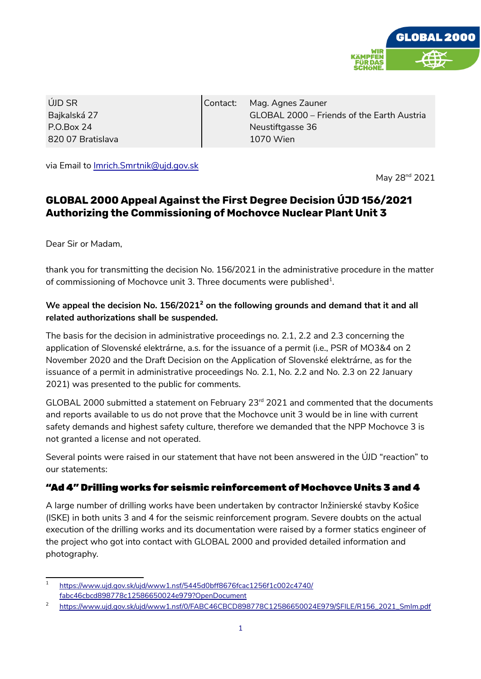

ÚJD SR Bajkalská 27 P.O.Box 24 820 07 Bratislava Contact: Mag. Agnes Zauner GLOBAL 2000 – Friends of the Earth Austria Neustiftgasse 36 1070 Wien

via Email to Imrich.Smrtnik@ujd.gov.sk

May 28<sup>nd</sup> 2021

# **GLOBAL 2000 Appeal Against the First Degree Decision ÚJD 156/2021 Authorizing the Commissioning of Mochovce Nuclear Plant Unit 3**

Dear Sir or Madam,

thank you for transmitting the decision No. 156/2021 in the administrative procedure in the matter of commissioning of Mochovce unit 3. Three documents were published $^{\rm 1}$  $^{\rm 1}$  $^{\rm 1}$ .

### We appeal the decision No. 156/[2](#page-0-1)021<sup>2</sup> on the following grounds and demand that it and all **related authorizations shall be suspended.**

The basis for the decision in administrative proceedings no. 2.1, 2.2 and 2.3 concerning the application of Slovenské elektrárne, a.s. for the issuance of a permit (i.e., PSR of MO3&4 on 2 November 2020 and the Draft Decision on the Application of Slovenské elektrárne, as for the issuance of a permit in administrative proceedings No. 2.1, No. 2.2 and No. 2.3 on 22 January 2021) was presented to the public for comments.

GLOBAL 2000 submitted a statement on February 23<sup>rd</sup> 2021 and commented that the documents and reports available to us do not prove that the Mochovce unit 3 would be in line with current safety demands and highest safety culture, therefore we demanded that the NPP Mochovce 3 is not granted a license and not operated.

Several points were raised in our statement that have not been answered in the ÚJD "reaction" to our statements:

### "Ad 4" Drilling works for seismic reinforcement of Mochovce Units 3 and 4

A large number of drilling works have been undertaken by contractor Inžinierské stavby Košice (ISKE) in both units 3 and 4 for the seismic reinforcement program. Severe doubts on the actual execution of the drilling works and its documentation were raised by a former statics engineer of the project who got into contact with GLOBAL 2000 and provided detailed information and photography.

<span id="page-0-0"></span><sup>1</sup> https://www.ujd.gov.sk/ujd/www1.nsf/5445d0bff8676fcac1256f1c002c4740/ fabc46cbcd898778c12586650024e979?OpenDocument

<span id="page-0-1"></span><sup>2</sup> [https://www.ujd.gov.sk/ujd/www1.nsf/0/FABC46CBCD898778C12586650024E979/\\$FILE/R156\\_2021\\_SmIm.pdf](https://www.ujd.gov.sk/ujd/www1.nsf/0/FABC46CBCD898778C12586650024E979/$FILE/R156_2021_SmIm.pdf)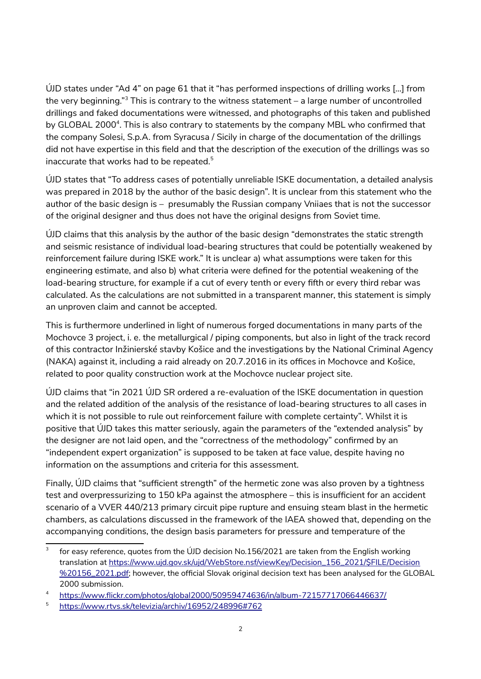ÚJD states under "Ad 4" on page 61 that it "has performed inspections of drilling works […] from the very beginning." $^3$  $^3$  This is contrary to the witness statement – a large number of uncontrolled drillings and faked documentations were witnessed, and photographs of this taken and published by GLOBAL 2000<sup>[4](#page-1-1)</sup>. This is also contrary to statements by the company MBL who confirmed that the company Solesi, S.p.A. from Syracusa / Sicily in charge of the documentation of the drillings did not have expertise in this field and that the description of the execution of the drillings was so inaccurate that works had to be repeated.<sup>[5](#page-1-2)</sup>

ÚJD states that "To address cases of potentially unreliable ISKE documentation, a detailed analysis was prepared in 2018 by the author of the basic design". It is unclear from this statement who the author of the basic design is – presumably the Russian company Vniiaes that is not the successor of the original designer and thus does not have the original designs from Soviet time.

ÚJD claims that this analysis by the author of the basic design "demonstrates the static strength and seismic resistance of individual load-bearing structures that could be potentially weakened by reinforcement failure during ISKE work." It is unclear a) what assumptions were taken for this engineering estimate, and also b) what criteria were defined for the potential weakening of the load-bearing structure, for example if a cut of every tenth or every fifth or every third rebar was calculated. As the calculations are not submitted in a transparent manner, this statement is simply an unproven claim and cannot be accepted.

This is furthermore underlined in light of numerous forged documentations in many parts of the Mochovce 3 project, i. e. the metallurgical / piping components, but also in light of the track record of this contractor Inžinierské stavby Košice and the investigations by the National Criminal Agency (NAKA) against it, including a raid already on 20.7.2016 in its offices in Mochovce and Košice, related to poor quality construction work at the Mochovce nuclear project site.

ÚJD claims that "in 2021 ÚJD SR ordered a re-evaluation of the ISKE documentation in question and the related addition of the analysis of the resistance of load-bearing structures to all cases in which it is not possible to rule out reinforcement failure with complete certainty". Whilst it is positive that ÚJD takes this matter seriously, again the parameters of the "extended analysis" by the designer are not laid open, and the "correctness of the methodology" confirmed by an "independent expert organization" is supposed to be taken at face value, despite having no information on the assumptions and criteria for this assessment.

Finally, ÚJD claims that "sufficient strength" of the hermetic zone was also proven by a tightness test and overpressurizing to 150 kPa against the atmosphere – this is insufficient for an accident scenario of a VVER 440/213 primary circuit pipe rupture and ensuing steam blast in the hermetic chambers, as calculations discussed in the framework of the IAEA showed that, depending on the accompanying conditions, the design basis parameters for pressure and temperature of the

<span id="page-1-0"></span><sup>3</sup> for easy reference, quotes from the ÚJD decision No.156/2021 are taken from the English working translation at [https://www.ujd.gov.sk/ujd/WebStore.nsf/viewKey/Decision\\_156\\_2021/\\$FILE/Decision](https://www.ujd.gov.sk/ujd/WebStore.nsf/viewKey/Decision_156_2021/$FILE/Decision%20156_2021.pdf) [%20156\\_2021.pdf](https://www.ujd.gov.sk/ujd/WebStore.nsf/viewKey/Decision_156_2021/$FILE/Decision%20156_2021.pdf); however, the official Slovak original decision text has been analysed for the GLOBAL 2000 submission.

<span id="page-1-1"></span><sup>4</sup> <https://www.flickr.com/photos/global2000/50959474636/in/album-72157717066446637/>

<span id="page-1-2"></span><sup>5</sup> <https://www.rtvs.sk/televizia/archiv/16952/248996#762>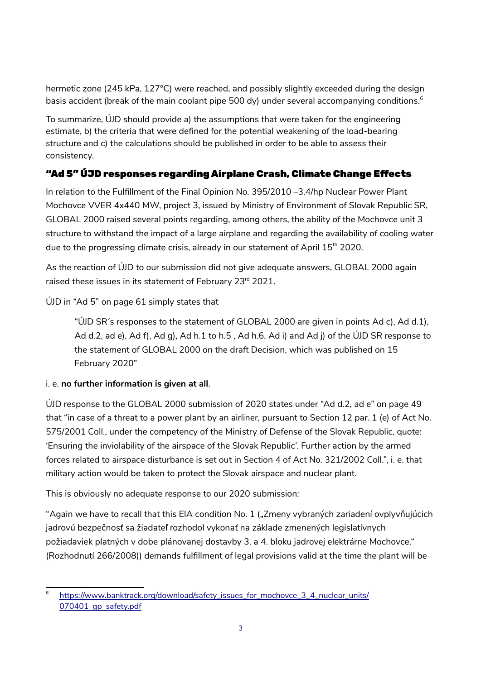hermetic zone (245 kPa, 127°C) were reached, and possibly slightly exceeded during the design basis accident (break of the main coolant pipe 500 dy) under several accompanying conditions.<sup>[6](#page-2-0)</sup>

To summarize, ÚJD should provide a) the assumptions that were taken for the engineering estimate, b) the criteria that were defined for the potential weakening of the load-bearing structure and c) the calculations should be published in order to be able to assess their consistency.

# "Ad 5" ÚJD responses regarding Airplane Crash, Climate Change Effects

In relation to the Fulfillment of the Final Opinion No. 395/2010 –3.4/hp Nuclear Power Plant Mochovce VVER 4x440 MW, project 3, issued by Ministry of Environment of Slovak Republic SR, GLOBAL 2000 raised several points regarding, among others, the ability of the Mochovce unit 3 structure to withstand the impact of a large airplane and regarding the availability of cooling water due to the progressing climate crisis, already in our statement of April  $15<sup>th</sup>$  2020.

As the reaction of ÚJD to our submission did not give adequate answers, GLOBAL 2000 again raised these issues in its statement of February 23<sup>rd</sup> 2021.

ÚJD in "Ad 5" on page 61 simply states that

"ÚJD SR's responses to the statement of GLOBAL 2000 are given in points Ad c), Ad d.1), Ad d.2, ad e), Ad f), Ad g), Ad h.1 to h.5 , Ad h.6, Ad i) and Ad j) of the ÚJD SR response to the statement of GLOBAL 2000 on the draft Decision, which was published on 15 February 2020"

#### i. e. **no further information is given at all**.

ÚJD response to the GLOBAL 2000 submission of 2020 states under "Ad d.2, ad e" on page 49 that "in case of a threat to a power plant by an airliner, pursuant to Section 12 par. 1 (e) of Act No. 575/2001 Coll., under the competency of the Ministry of Defense of the Slovak Republic, quote: 'Ensuring the inviolability of the airspace of the Slovak Republic'. Further action by the armed forces related to airspace disturbance is set out in Section 4 of Act No. 321/2002 Coll.", i. e. that military action would be taken to protect the Slovak airspace and nuclear plant.

This is obviously no adequate response to our 2020 submission:

"Again we have to recall that this EIA condition No. 1 ("Zmeny vybraných zariadení ovplyvňujúcich jadrovú bezpečnosť sa žiadateľ rozhodol vykonať na základe zmenených legislatívnych požiadaviek platných v dobe plánovanej dostavby 3. a 4. bloku jadrovej elektrárne Mochovce." (Rozhodnutí 266/2008)) demands fulfillment of legal provisions valid at the time the plant will be

<span id="page-2-0"></span><sup>6</sup>  [https://www.banktrack.org/download/safety\\_issues\\_for\\_mochovce\\_3\\_4\\_nuclear\\_units/](https://www.banktrack.org/download/safety_issues_for_mochovce_3_4_nuclear_units/070401_gp_safety.pdf) 070401\_qp\_safety.pdf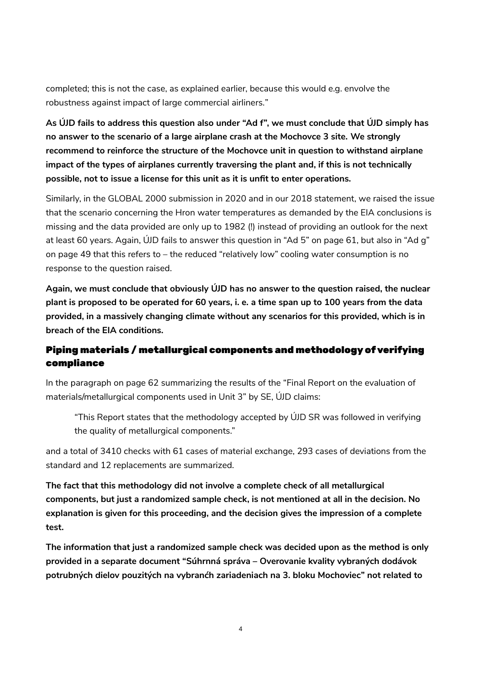completed; this is not the case, as explained earlier, because this would e.g. envolve the robustness against impact of large commercial airliners."

**As ÚJD fails to address this question also under "Ad f", we must conclude that ÚJD simply has no answer to the scenario of a large airplane crash at the Mochovce 3 site. We strongly recommend to reinforce the structure of the Mochovce unit in question to withstand airplane impact of the types of airplanes currently traversing the plant and, if this is not technically possible, not to issue a license for this unit as it is unfit to enter operations.** 

Similarly, in the GLOBAL 2000 submission in 2020 and in our 2018 statement, we raised the issue that the scenario concerning the Hron water temperatures as demanded by the EIA conclusions is missing and the data provided are only up to 1982 (!) instead of providing an outlook for the next at least 60 years. Again, ÚJD fails to answer this question in "Ad 5" on page 61, but also in "Ad g" on page 49 that this refers to – the reduced "relatively low" cooling water consumption is no response to the question raised.

**Again, we must conclude that obviously ÚJD has no answer to the question raised, the nuclear plant is proposed to be operated for 60 years, i. e. a time span up to 100 years from the data provided, in a massively changing climate without any scenarios for this provided, which is in breach of the EIA conditions.**

# Piping materials / metallurgical components and methodology of verifying compliance

In the paragraph on page 62 summarizing the results of the "Final Report on the evaluation of materials/metallurgical components used in Unit 3" by SE, ÚJD claims:

"This Report states that the methodology accepted by ÚJD SR was followed in verifying the quality of metallurgical components."

and a total of 3410 checks with 61 cases of material exchange, 293 cases of deviations from the standard and 12 replacements are summarized.

**The fact that this methodology did not involve a complete check of all metallurgical components, but just a randomized sample check, is not mentioned at all in the decision. No explanation is given for this proceeding, and the decision gives the impression of a complete test.** 

**The information that just a randomized sample check was decided upon as the method is only provided in a separate document "Súhrnná správa – Overovanie kvality vybraných dodávok potrubných dielov pouzitých na vybranćh zariadeniach na 3. bloku Mochoviec" not related to**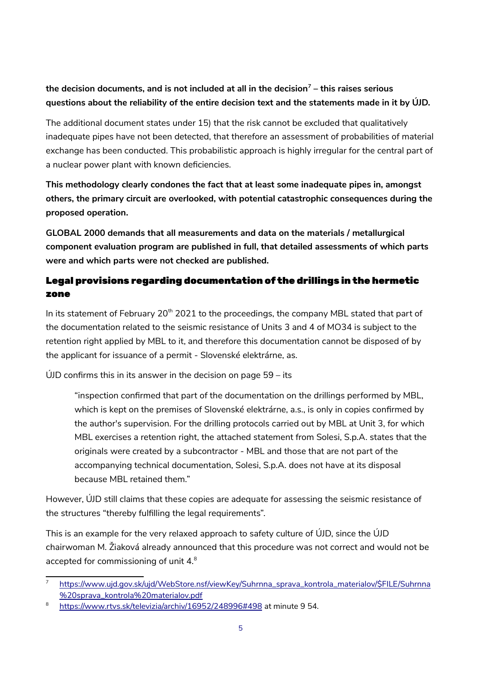# **the decision documents, and is not included at all in the decision[7](#page-4-0) – this raises serious questions about the reliability of the entire decision text and the statements made in it by ÚJD.**

The additional document states under 15) that the risk cannot be excluded that qualitatively inadequate pipes have not been detected, that therefore an assessment of probabilities of material exchange has been conducted. This probabilistic approach is highly irregular for the central part of a nuclear power plant with known deficiencies.

**This methodology clearly condones the fact that at least some inadequate pipes in, amongst others, the primary circuit are overlooked, with potential catastrophic consequences during the proposed operation.** 

**GLOBAL 2000 demands that all measurements and data on the materials / metallurgical component evaluation program are published in full, that detailed assessments of which parts were and which parts were not checked are published.**

### Legal provisions regarding documentation of the drillings in the hermetic zone

In its statement of February 20<sup>th</sup> 2021 to the proceedings, the company MBL stated that part of the documentation related to the seismic resistance of Units 3 and 4 of MO34 is subject to the retention right applied by MBL to it, and therefore this documentation cannot be disposed of by the applicant for issuance of a permit - Slovenské elektrárne, as.

 $U$ UD confirms this in its answer in the decision on page 59 – its

"inspection confirmed that part of the documentation on the drillings performed by MBL, which is kept on the premises of Slovenské elektrárne, a.s., is only in copies confirmed by the author's supervision. For the drilling protocols carried out by MBL at Unit 3, for which MBL exercises a retention right, the attached statement from Solesi, S.p.A. states that the originals were created by a subcontractor - MBL and those that are not part of the accompanying technical documentation, Solesi, S.p.A. does not have at its disposal because MBL retained them."

However, ÚJD still claims that these copies are adequate for assessing the seismic resistance of the structures "thereby fulfilling the legal requirements".

This is an example for the very relaxed approach to safety culture of ÚJD, since the ÚJD chairwoman M. Žiaková already announced that this procedure was not correct and would not be accepted for commissioning of unit 4.[8](#page-4-1)

<span id="page-4-0"></span><sup>7</sup>  [https://www.ujd.gov.sk/ujd/WebStore.nsf/viewKey/Suhrnna\\_sprava\\_kontrola\\_materialov/\\$FILE/Suhrnna](https://www.ujd.gov.sk/ujd/WebStore.nsf/viewKey/Suhrnna_sprava_kontrola_materialov/$FILE/Suhrnna%20sprava_kontrola%20materialov.pdf) [%20sprava\\_kontrola%20materialov.pdf](https://www.ujd.gov.sk/ujd/WebStore.nsf/viewKey/Suhrnna_sprava_kontrola_materialov/$FILE/Suhrnna%20sprava_kontrola%20materialov.pdf)

<span id="page-4-1"></span><sup>8</sup> <https://www.rtvs.sk/televizia/archiv/16952/248996#498>at minute 9 54.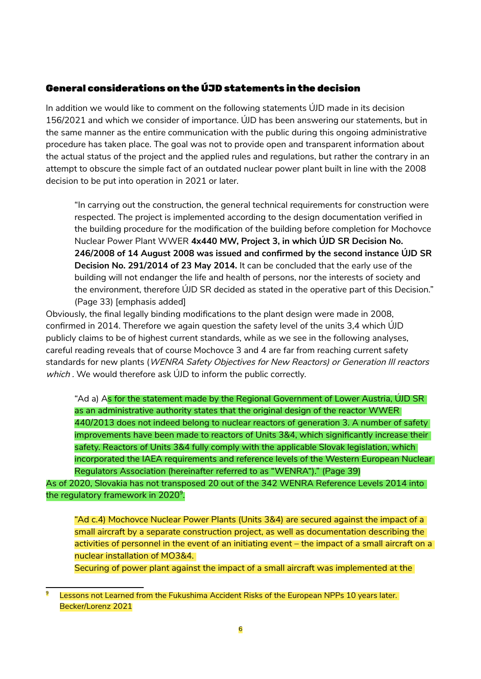### General considerations on the ÚJD statements in the decision

In addition we would like to comment on the following statements ÚJD made in its decision 156/2021 and which we consider of importance. ÚJD has been answering our statements, but in the same manner as the entire communication with the public during this ongoing administrative procedure has taken place. The goal was not to provide open and transparent information about the actual status of the project and the applied rules and regulations, but rather the contrary in an attempt to obscure the simple fact of an outdated nuclear power plant built in line with the 2008 decision to be put into operation in 2021 or later.

"In carrying out the construction, the general technical requirements for construction were respected. The project is implemented according to the design documentation verified in the building procedure for the modification of the building before completion for Mochovce Nuclear Power Plant WWER **4x440 MW, Project 3, in which ÚJD SR Decision No. 246/2008 of 14 August 2008 was issued and confirmed by the second instance ÚJD SR Decision No. 291/2014 of 23 May 2014.** It can be concluded that the early use of the building will not endanger the life and health of persons, nor the interests of society and the environment, therefore ÚJD SR decided as stated in the operative part of this Decision." (Page 33) [emphasis added]

Obviously, the final legally binding modifications to the plant design were made in 2008, confirmed in 2014. Therefore we again question the safety level of the units 3,4 which ÚJD publicly claims to be of highest current standards, while as we see in the following analyses, careful reading reveals that of course Mochovce 3 and 4 are far from reaching current safety standards for new plants (WENRA Safety Objectives for New Reactors) or Generation III reactors which. We would therefore ask UJD to inform the public correctly.

"Ad a) As for the statement made by the Regional Government of Lower Austria, ÚJD SR as an administrative authority states that the original design of the reactor WWER 440/2013 does not indeed belong to nuclear reactors of generation 3. A number of safety improvements have been made to reactors of Units 3&4, which significantly increase their safety. Reactors of Units 3&4 fully comply with the applicable Slovak legislation, which incorporated the IAEA requirements and reference levels of the Western European Nuclear Regulators Association (hereinafter referred to as "WENRA")." (Page 39)

As of 2020, Slovakia has not transposed 20 out of the 342 WENRA Reference Levels 2014 into the regulatory framework in 2020 $^9$  $^9$ .

"Ad c.4) Mochovce Nuclear Power Plants (Units 3&4) are secured against the impact of a small aircraft by a separate construction project, as well as documentation describing the activities of personnel in the event of an initiating event – the impact of a small aircraft on a nuclear installation of MO3&4.

Securing of power plant against the impact of a small aircraft was implemented at the

<span id="page-5-0"></span><sup>9</sup> Lessons not Learned from the Fukushima Accident Risks of the European NPPs 10 years later. Becker/Lorenz 2021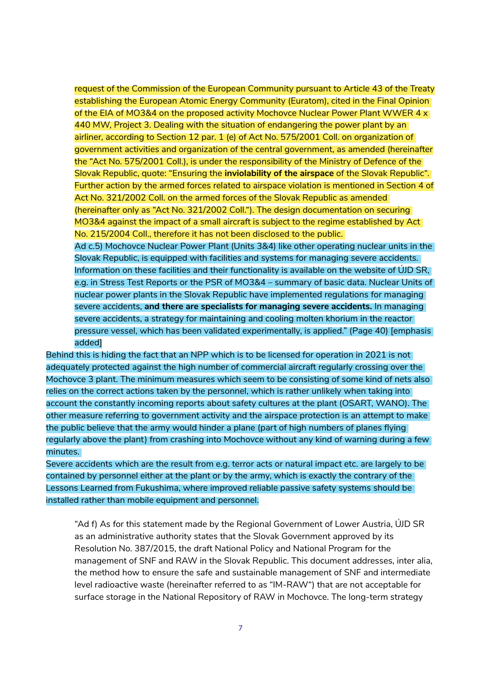request of the Commission of the European Community pursuant to Article 43 of the Treaty establishing the European Atomic Energy Community (Euratom), cited in the Final Opinion of the EIA of MO3&4 on the proposed activity Mochovce Nuclear Power Plant WWER 4 x 440 MW, Project 3. Dealing with the situation of endangering the power plant by an airliner, according to Section 12 par. 1 (e) of Act No. 575/2001 Coll. on organization of government activities and organization of the central government, as amended (hereinafter the "Act No. 575/2001 Coll.), is under the responsibility of the Ministry of Defence of the Slovak Republic, quote: "Ensuring the **inviolability of the airspace** of the Slovak Republic". Further action by the armed forces related to airspace violation is mentioned in Section 4 of Act No. 321/2002 Coll. on the armed forces of the Slovak Republic as amended (hereinafter only as "Act No. 321/2002 Coll."). The design documentation on securing MO3&4 against the impact of a small aircraft is subject to the regime established by Act No. 215/2004 Coll., therefore it has not been disclosed to the public.

Ad c.5) Mochovce Nuclear Power Plant (Units 3&4) like other operating nuclear units in the Slovak Republic, is equipped with facilities and systems for managing severe accidents. Information on these facilities and their functionality is available on the website of ÚJD SR, e.g. in Stress Test Reports or the PSR of MO3&4 – summary of basic data. Nuclear Units of nuclear power plants in the Slovak Republic have implemented regulations for managing severe accidents, **and there are specialists for managing severe accidents.** In managing severe accidents, a strategy for maintaining and cooling molten khorium in the reactor pressure vessel, which has been validated experimentally, is applied." (Page 40) [emphasis added]

Behind this is hiding the fact that an NPP which is to be licensed for operation in 2021 is not adequately protected against the high number of commercial aircraft regularly crossing over the Mochovce 3 plant. The minimum measures which seem to be consisting of some kind of nets also relies on the correct actions taken by the personnel, which is rather unlikely when taking into account the constantly incoming reports about safety cultures at the plant (OSART, WANO). The other measure referring to government activity and the airspace protection is an attempt to make the public believe that the army would hinder a plane (part of high numbers of planes flying regularly above the plant) from crashing into Mochovce without any kind of warning during a few minutes.

Severe accidents which are the result from e.g. terror acts or natural impact etc. are largely to be contained by personnel either at the plant or by the army, which is exactly the contrary of the Lessons Learned from Fukushima, where improved reliable passive safety systems should be installed rather than mobile equipment and personnel.

"Ad f) As for this statement made by the Regional Government of Lower Austria, ÚJD SR as an administrative authority states that the Slovak Government approved by its Resolution No. 387/2015, the draft National Policy and National Program for the management of SNF and RAW in the Slovak Republic. This document addresses, inter alia, the method how to ensure the safe and sustainable management of SNF and intermediate level radioactive waste (hereinafter referred to as "IM-RAW") that are not acceptable for surface storage in the National Repository of RAW in Mochovce. The long-term strategy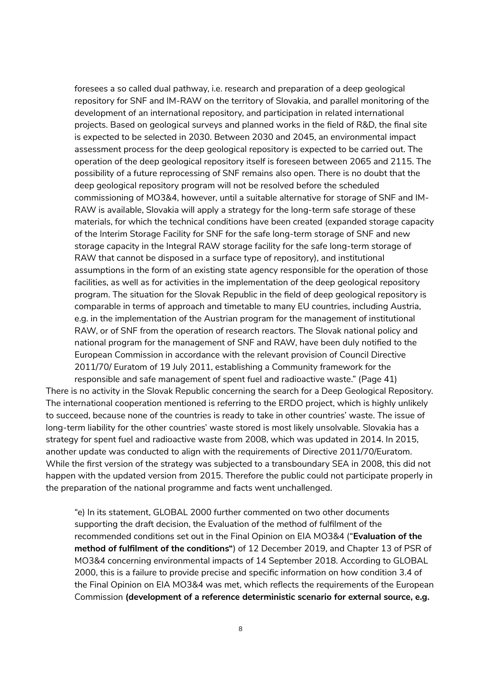foresees a so called dual pathway, i.e. research and preparation of a deep geological repository for SNF and IM-RAW on the territory of Slovakia, and parallel monitoring of the development of an international repository, and participation in related international projects. Based on geological surveys and planned works in the field of R&D, the final site is expected to be selected in 2030. Between 2030 and 2045, an environmental impact assessment process for the deep geological repository is expected to be carried out. The operation of the deep geological repository itself is foreseen between 2065 and 2115. The possibility of a future reprocessing of SNF remains also open. There is no doubt that the deep geological repository program will not be resolved before the scheduled commissioning of MO3&4, however, until a suitable alternative for storage of SNF and IM-RAW is available, Slovakia will apply a strategy for the long-term safe storage of these materials, for which the technical conditions have been created (expanded storage capacity of the Interim Storage Facility for SNF for the safe long-term storage of SNF and new storage capacity in the Integral RAW storage facility for the safe long-term storage of RAW that cannot be disposed in a surface type of repository), and institutional assumptions in the form of an existing state agency responsible for the operation of those facilities, as well as for activities in the implementation of the deep geological repository program. The situation for the Slovak Republic in the field of deep geological repository is comparable in terms of approach and timetable to many EU countries, including Austria, e.g. in the implementation of the Austrian program for the management of institutional RAW, or of SNF from the operation of research reactors. The Slovak national policy and national program for the management of SNF and RAW, have been duly notified to the European Commission in accordance with the relevant provision of Council Directive 2011/70/ Euratom of 19 July 2011, establishing a Community framework for the

responsible and safe management of spent fuel and radioactive waste." (Page 41) There is no activity in the Slovak Republic concerning the search for a Deep Geological Repository. The international cooperation mentioned is referring to the ERDO project, which is highly unlikely to succeed, because none of the countries is ready to take in other countries' waste. The issue of long-term liability for the other countries' waste stored is most likely unsolvable. Slovakia has a strategy for spent fuel and radioactive waste from 2008, which was updated in 2014. In 2015, another update was conducted to align with the requirements of Directive 2011/70/Euratom. While the first version of the strategy was subjected to a transboundary SEA in 2008, this did not happen with the updated version from 2015. Therefore the public could not participate properly in the preparation of the national programme and facts went unchallenged.

"e) In its statement, GLOBAL 2000 further commented on two other documents supporting the draft decision, the Evaluation of the method of fulfilment of the recommended conditions set out in the Final Opinion on EIA MO3&4 ("**Evaluation of the method of fulfilment of the conditions"**) of 12 December 2019, and Chapter 13 of PSR of MO3&4 concerning environmental impacts of 14 September 2018. According to GLOBAL 2000, this is a failure to provide precise and specific information on how condition 3.4 of the Final Opinion on EIA MO3&4 was met, which reflects the requirements of the European Commission **(development of a reference deterministic scenario for external source, e.g.**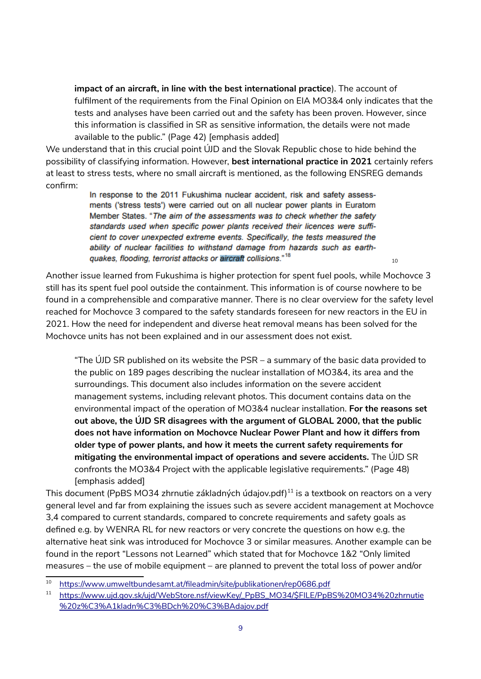**impact of an aircraft, in line with the best international practice**). The account of fulfilment of the requirements from the Final Opinion on EIA MO3&4 only indicates that the tests and analyses have been carried out and the safety has been proven. However, since this information is classified in SR as sensitive information, the details were not made available to the public." (Page 42) [emphasis added]

We understand that in this crucial point ÚJD and the Slovak Republic chose to hide behind the possibility of classifying information. However, **best international practice in 2021** certainly refers at least to stress tests, where no small aircraft is mentioned, as the following ENSREG demands confirm:

In response to the 2011 Fukushima nuclear accident, risk and safety assessments ('stress tests') were carried out on all nuclear power plants in Euratom Member States. "The aim of the assessments was to check whether the safety standards used when specific power plants received their licences were sufficient to cover unexpected extreme events. Specifically, the tests measured the ability of nuclear facilities to withstand damage from hazards such as earthquakes, flooding, terrorist attacks or aircraft collisions."<sup>18</sup>

Another issue learned from Fukushima is higher protection for spent fuel pools, while Mochovce 3 still has its spent fuel pool outside the containment. This information is of course nowhere to be found in a comprehensible and comparative manner. There is no clear overview for the safety level reached for Mochovce 3 compared to the safety standards foreseen for new reactors in the EU in 2021. How the need for independent and diverse heat removal means has been solved for the Mochovce units has not been explained and in our assessment does not exist.

[10](#page-8-0)

"The ÚJD SR published on its website the PSR – a summary of the basic data provided to the public on 189 pages describing the nuclear installation of MO3&4, its area and the surroundings. This document also includes information on the severe accident management systems, including relevant photos. This document contains data on the environmental impact of the operation of MO3&4 nuclear installation. **For the reasons set out above, the ÚJD SR disagrees with the argument of GLOBAL 2000, that the public does not have information on Mochovce Nuclear Power Plant and how it differs from older type of power plants, and how it meets the current safety requirements for mitigating the environmental impact of operations and severe accidents.** The ÚJD SR confronts the MO3&4 Project with the applicable legislative requirements." (Page 48) [emphasis added]

This document (PpBS MO34 zhrnutie základných údajov.pdf)<sup>[11](#page-8-1)</sup> is a textbook on reactors on a very general level and far from explaining the issues such as severe accident management at Mochovce 3,4 compared to current standards, compared to concrete requirements and safety goals as defined e.g. by WENRA RL for new reactors or very concrete the questions on how e.g. the alternative heat sink was introduced for Mochovce 3 or similar measures. Another example can be found in the report "Lessons not Learned" which stated that for Mochovce 1&2 "Only limited measures – the use of mobile equipment – are planned to prevent the total loss of power and/or

<span id="page-8-0"></span><sup>10</sup> <https://www.umweltbundesamt.at/fileadmin/site/publikationen/rep0686.pdf>

<span id="page-8-1"></span><sup>11</sup> [https://www.ujd.gov.sk/ujd/WebStore.nsf/viewKey/\\_PpBS\\_MO34/\\$FILE/PpBS%20MO34%20zhrnutie](https://www.ujd.gov.sk/ujd/WebStore.nsf/viewKey/_PpBS_MO34/$FILE/PpBS%20MO34%20zhrnutie%20z%C3%A1kladn%C3%BDch%20%C3%BAdajov.pdf) [%20z%C3%A1kladn%C3%BDch%20%C3%BAdajov.pdf](https://www.ujd.gov.sk/ujd/WebStore.nsf/viewKey/_PpBS_MO34/$FILE/PpBS%20MO34%20zhrnutie%20z%C3%A1kladn%C3%BDch%20%C3%BAdajov.pdf)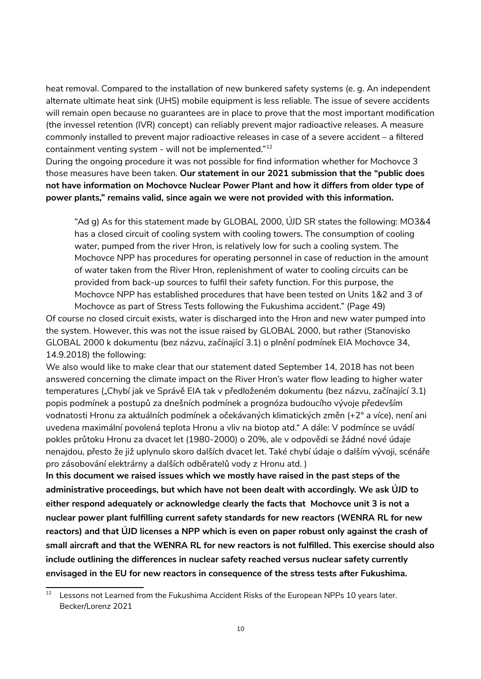heat removal. Compared to the installation of new bunkered safety systems (e. g. An independent alternate ultimate heat sink (UHS) mobile equipment is less reliable. The issue of severe accidents will remain open because no guarantees are in place to prove that the most important modification (the invessel retention (IVR) concept) can reliably prevent major radioactive releases. A measure commonly installed to prevent major radioactive releases in case of a severe accident – a filtered containment venting system - will not be implemented."<sup>[12](#page-9-0)</sup>

During the ongoing procedure it was not possible for find information whether for Mochovce 3 those measures have been taken. **Our statement in our 2021 submission that the "public does not have information on Mochovce Nuclear Power Plant and how it differs from older type of power plants," remains valid, since again we were not provided with this information.** 

"Ad g) As for this statement made by GLOBAL 2000, ÚJD SR states the following: MO3&4 has a closed circuit of cooling system with cooling towers. The consumption of cooling water, pumped from the river Hron, is relatively low for such a cooling system. The Mochovce NPP has procedures for operating personnel in case of reduction in the amount of water taken from the River Hron, replenishment of water to cooling circuits can be provided from back-up sources to fulfil their safety function. For this purpose, the Mochovce NPP has established procedures that have been tested on Units 1&2 and 3 of Mochovce as part of Stress Tests following the Fukushima accident." (Page 49)

Of course no closed circuit exists, water is discharged into the Hron and new water pumped into the system. However, this was not the issue raised by GLOBAL 2000, but rather (Stanovisko GLOBAL 2000 k dokumentu (bez názvu, začínající 3.1) o plnění podmínek EIA Mochovce 34, 14.9.2018) the following:

We also would like to make clear that our statement dated September 14, 2018 has not been answered concerning the climate impact on the River Hron's water flow leading to higher water temperatures ("Chybí jak ve Správě EIA tak v předloženém dokumentu (bez názvu, začínající 3.1) popis podmínek a postupů za dnešních podmínek a prognóza budoucího vývoje především vodnatosti Hronu za aktuálních podmínek a očekávaných klimatických změn (+2° a více), není ani uvedena maximální povolená teplota Hronu a vliv na biotop atd." A dále: V podmínce se uvádí pokles průtoku Hronu za dvacet let (1980-2000) o 20%, ale v odpovědi se žádné nové údaje nenajdou, přesto že již uplynulo skoro dalších dvacet let. Také chybí údaje o dalším vývoji, scénáře pro zásobování elektrárny a dalších odběratelů vody z Hronu atd. )

**In this document we raised issues which we mostly have raised in the past steps of the administrative proceedings, but which have not been dealt with accordingly. We ask ÚJD to either respond adequately or acknowledge clearly the facts that Mochovce unit 3 is not a nuclear power plant fulfilling current safety standards for new reactors (WENRA RL for new reactors) and that ÚJD licenses a NPP which is even on paper robust only against the crash of small aircraft and that the WENRA RL for new reactors is not fulfilled. This exercise should also include outlining the differences in nuclear safety reached versus nuclear safety currently envisaged in the EU for new reactors in consequence of the stress tests after Fukushima.**

<span id="page-9-0"></span> $12$  Lessons not Learned from the Fukushima Accident Risks of the European NPPs 10 years later. Becker/Lorenz 2021